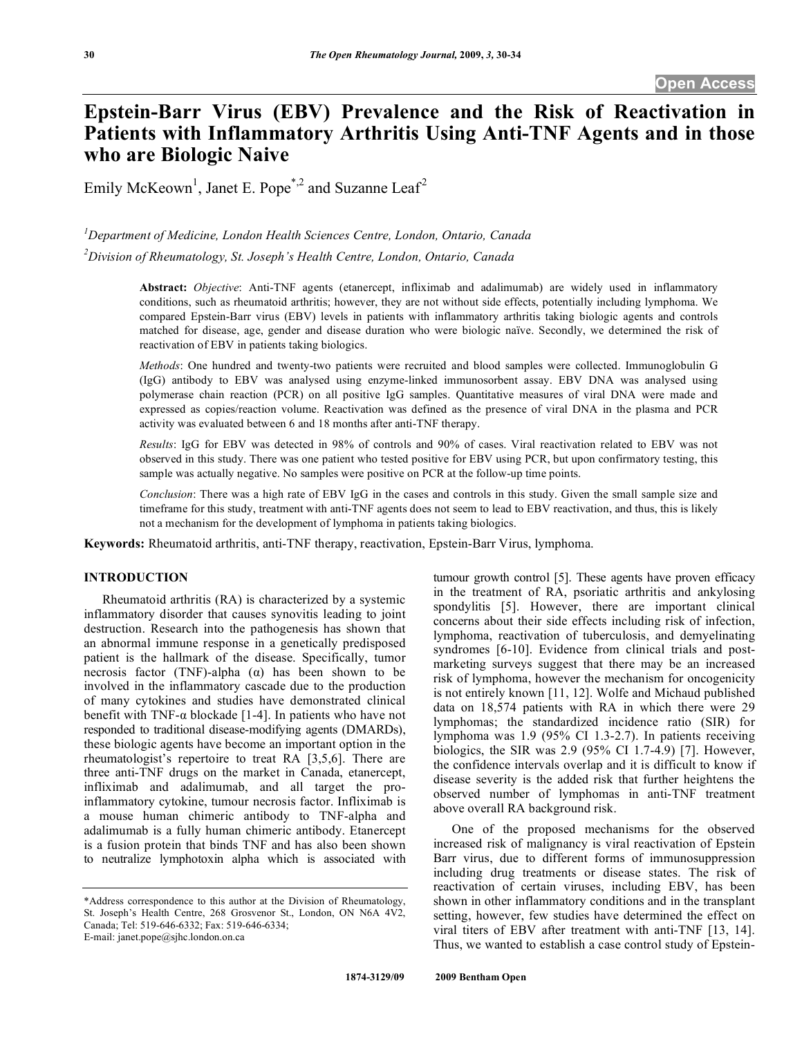# **Epstein-Barr Virus (EBV) Prevalence and the Risk of Reactivation in Patients with Inflammatory Arthritis Using Anti-TNF Agents and in those who are Biologic Naive**

Emily McKeown<sup>1</sup>, Janet E. Pope<sup>\*,2</sup> and Suzanne Leaf<sup>2</sup>

*1 Department of Medicine, London Health Sciences Centre, London, Ontario, Canada* 

*2 Division of Rheumatology, St. Joseph's Health Centre, London, Ontario, Canada* 

**Abstract:** *Objective*: Anti-TNF agents (etanercept, infliximab and adalimumab) are widely used in inflammatory conditions, such as rheumatoid arthritis; however, they are not without side effects, potentially including lymphoma. We compared Epstein-Barr virus (EBV) levels in patients with inflammatory arthritis taking biologic agents and controls matched for disease, age, gender and disease duration who were biologic naïve. Secondly, we determined the risk of reactivation of EBV in patients taking biologics.

*Methods*: One hundred and twenty-two patients were recruited and blood samples were collected. Immunoglobulin G (IgG) antibody to EBV was analysed using enzyme-linked immunosorbent assay. EBV DNA was analysed using polymerase chain reaction (PCR) on all positive IgG samples. Quantitative measures of viral DNA were made and expressed as copies/reaction volume. Reactivation was defined as the presence of viral DNA in the plasma and PCR activity was evaluated between 6 and 18 months after anti-TNF therapy.

*Results*: IgG for EBV was detected in 98% of controls and 90% of cases. Viral reactivation related to EBV was not observed in this study. There was one patient who tested positive for EBV using PCR, but upon confirmatory testing, this sample was actually negative. No samples were positive on PCR at the follow-up time points.

*Conclusion*: There was a high rate of EBV IgG in the cases and controls in this study. Given the small sample size and timeframe for this study, treatment with anti-TNF agents does not seem to lead to EBV reactivation, and thus, this is likely not a mechanism for the development of lymphoma in patients taking biologics.

**Keywords:** Rheumatoid arthritis, anti-TNF therapy, reactivation, Epstein-Barr Virus, lymphoma.

## **INTRODUCTION**

 Rheumatoid arthritis (RA) is characterized by a systemic inflammatory disorder that causes synovitis leading to joint destruction. Research into the pathogenesis has shown that an abnormal immune response in a genetically predisposed patient is the hallmark of the disease. Specifically, tumor necrosis factor (TNF)-alpha  $(\alpha)$  has been shown to be involved in the inflammatory cascade due to the production of many cytokines and studies have demonstrated clinical benefit with TNF- $\alpha$  blockade [1-4]. In patients who have not responded to traditional disease-modifying agents (DMARDs), these biologic agents have become an important option in the rheumatologist's repertoire to treat RA [3,5,6]. There are three anti-TNF drugs on the market in Canada, etanercept, infliximab and adalimumab, and all target the proinflammatory cytokine, tumour necrosis factor. Infliximab is a mouse human chimeric antibody to TNF-alpha and adalimumab is a fully human chimeric antibody. Etanercept is a fusion protein that binds TNF and has also been shown to neutralize lymphotoxin alpha which is associated with

E-mail: janet.pope@sjhc.london.on.ca

tumour growth control [5]. These agents have proven efficacy in the treatment of RA, psoriatic arthritis and ankylosing spondylitis [5]. However, there are important clinical concerns about their side effects including risk of infection, lymphoma, reactivation of tuberculosis, and demyelinating syndromes [6-10]. Evidence from clinical trials and postmarketing surveys suggest that there may be an increased risk of lymphoma, however the mechanism for oncogenicity is not entirely known [11, 12]. Wolfe and Michaud published data on 18,574 patients with RA in which there were 29 lymphomas; the standardized incidence ratio (SIR) for lymphoma was 1.9 (95% CI 1.3-2.7). In patients receiving biologics, the SIR was 2.9 (95% CI 1.7-4.9) [7]. However, the confidence intervals overlap and it is difficult to know if disease severity is the added risk that further heightens the observed number of lymphomas in anti-TNF treatment above overall RA background risk.

 One of the proposed mechanisms for the observed increased risk of malignancy is viral reactivation of Epstein Barr virus, due to different forms of immunosuppression including drug treatments or disease states. The risk of reactivation of certain viruses, including EBV, has been shown in other inflammatory conditions and in the transplant setting, however, few studies have determined the effect on viral titers of EBV after treatment with anti-TNF [13, 14]. Thus, we wanted to establish a case control study of Epstein-

<sup>\*</sup>Address correspondence to this author at the Division of Rheumatology, St. Joseph's Health Centre, 268 Grosvenor St., London, ON N6A 4V2, Canada; Tel: 519-646-6332; Fax: 519-646-6334;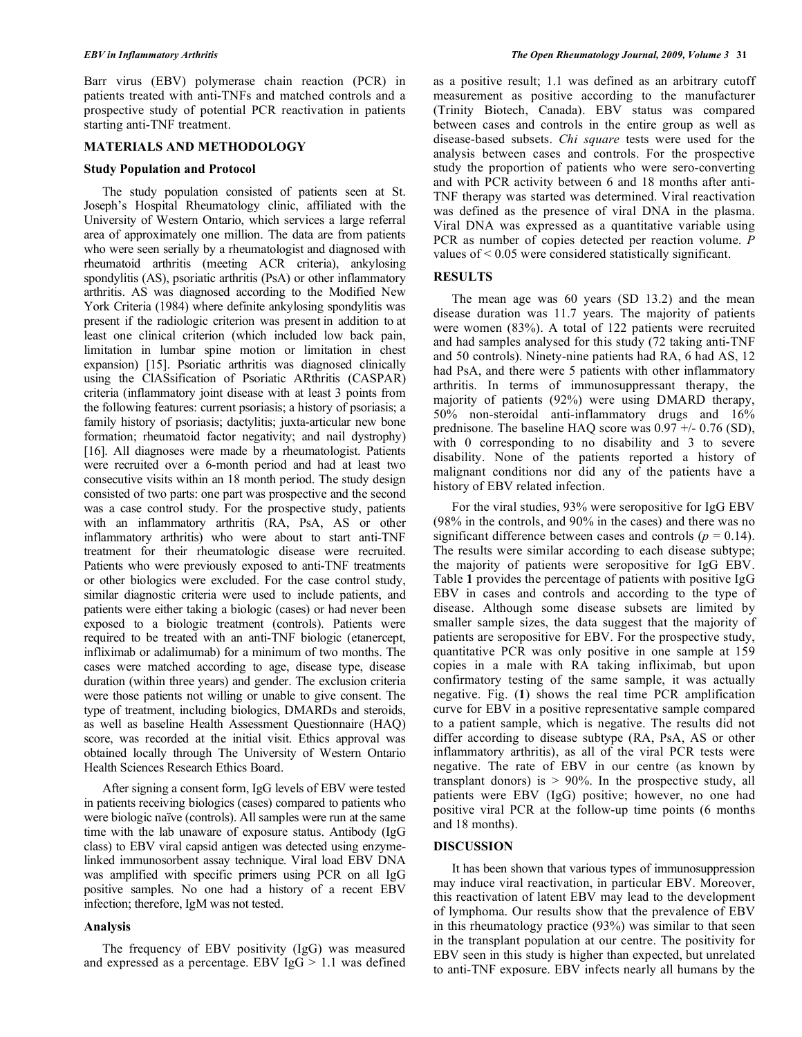Barr virus (EBV) polymerase chain reaction (PCR) in patients treated with anti-TNFs and matched controls and a prospective study of potential PCR reactivation in patients starting anti-TNF treatment.

#### **MATERIALS AND METHODOLOGY**

#### **Study Population and Protocol**

 The study population consisted of patients seen at St. Joseph's Hospital Rheumatology clinic, affiliated with the University of Western Ontario, which services a large referral area of approximately one million. The data are from patients who were seen serially by a rheumatologist and diagnosed with rheumatoid arthritis (meeting ACR criteria), ankylosing spondylitis (AS), psoriatic arthritis (PsA) or other inflammatory arthritis. AS was diagnosed according to the Modified New York Criteria (1984) where definite ankylosing spondylitis was present if the radiologic criterion was present in addition to at least one clinical criterion (which included low back pain, limitation in lumbar spine motion or limitation in chest expansion) [15]. Psoriatic arthritis was diagnosed clinically using the ClASsification of Psoriatic ARthritis (CASPAR) criteria (inflammatory joint disease with at least 3 points from the following features: current psoriasis; a history of psoriasis; a family history of psoriasis; dactylitis; juxta-articular new bone formation; rheumatoid factor negativity; and nail dystrophy) [16]. All diagnoses were made by a rheumatologist. Patients were recruited over a 6-month period and had at least two consecutive visits within an 18 month period. The study design consisted of two parts: one part was prospective and the second was a case control study. For the prospective study, patients with an inflammatory arthritis (RA, PsA, AS or other inflammatory arthritis) who were about to start anti-TNF treatment for their rheumatologic disease were recruited. Patients who were previously exposed to anti-TNF treatments or other biologics were excluded. For the case control study, similar diagnostic criteria were used to include patients, and patients were either taking a biologic (cases) or had never been exposed to a biologic treatment (controls). Patients were required to be treated with an anti-TNF biologic (etanercept, infliximab or adalimumab) for a minimum of two months. The cases were matched according to age, disease type, disease duration (within three years) and gender. The exclusion criteria were those patients not willing or unable to give consent. The type of treatment, including biologics, DMARDs and steroids, as well as baseline Health Assessment Questionnaire (HAQ) score, was recorded at the initial visit. Ethics approval was obtained locally through The University of Western Ontario Health Sciences Research Ethics Board.

 After signing a consent form, IgG levels of EBV were tested in patients receiving biologics (cases) compared to patients who were biologic naïve (controls). All samples were run at the same time with the lab unaware of exposure status. Antibody (IgG class) to EBV viral capsid antigen was detected using enzymelinked immunosorbent assay technique. Viral load EBV DNA was amplified with specific primers using PCR on all IgG positive samples. No one had a history of a recent EBV infection; therefore, IgM was not tested.

#### **Analysis**

 The frequency of EBV positivity (IgG) was measured and expressed as a percentage. EBV  $\text{IgG} > 1.1$  was defined as a positive result; 1.1 was defined as an arbitrary cutoff measurement as positive according to the manufacturer (Trinity Biotech, Canada). EBV status was compared between cases and controls in the entire group as well as disease-based subsets. *Chi square* tests were used for the analysis between cases and controls. For the prospective study the proportion of patients who were sero-converting and with PCR activity between 6 and 18 months after anti-TNF therapy was started was determined. Viral reactivation was defined as the presence of viral DNA in the plasma. Viral DNA was expressed as a quantitative variable using PCR as number of copies detected per reaction volume. *P* values of < 0.05 were considered statistically significant.

### **RESULTS**

 The mean age was 60 years (SD 13.2) and the mean disease duration was 11.7 years. The majority of patients were women (83%). A total of 122 patients were recruited and had samples analysed for this study (72 taking anti-TNF and 50 controls). Ninety-nine patients had RA, 6 had AS, 12 had PsA, and there were 5 patients with other inflammatory arthritis. In terms of immunosuppressant therapy, the majority of patients (92%) were using DMARD therapy, 50% non-steroidal anti-inflammatory drugs and 16% prednisone. The baseline HAQ score was 0.97 +/- 0.76 (SD), with 0 corresponding to no disability and 3 to severe disability. None of the patients reported a history of malignant conditions nor did any of the patients have a history of EBV related infection.

 For the viral studies, 93% were seropositive for IgG EBV (98% in the controls, and 90% in the cases) and there was no significant difference between cases and controls  $(p = 0.14)$ . The results were similar according to each disease subtype; the majority of patients were seropositive for IgG EBV. Table **1** provides the percentage of patients with positive IgG EBV in cases and controls and according to the type of disease. Although some disease subsets are limited by smaller sample sizes, the data suggest that the majority of patients are seropositive for EBV. For the prospective study, quantitative PCR was only positive in one sample at 159 copies in a male with RA taking infliximab, but upon confirmatory testing of the same sample, it was actually negative. Fig. (**1**) shows the real time PCR amplification curve for EBV in a positive representative sample compared to a patient sample, which is negative. The results did not differ according to disease subtype (RA, PsA, AS or other inflammatory arthritis), as all of the viral PCR tests were negative. The rate of EBV in our centre (as known by transplant donors) is  $> 90\%$ . In the prospective study, all patients were EBV (IgG) positive; however, no one had positive viral PCR at the follow-up time points (6 months and 18 months).

#### **DISCUSSION**

 It has been shown that various types of immunosuppression may induce viral reactivation, in particular EBV. Moreover, this reactivation of latent EBV may lead to the development of lymphoma. Our results show that the prevalence of EBV in this rheumatology practice (93%) was similar to that seen in the transplant population at our centre. The positivity for EBV seen in this study is higher than expected, but unrelated to anti-TNF exposure. EBV infects nearly all humans by the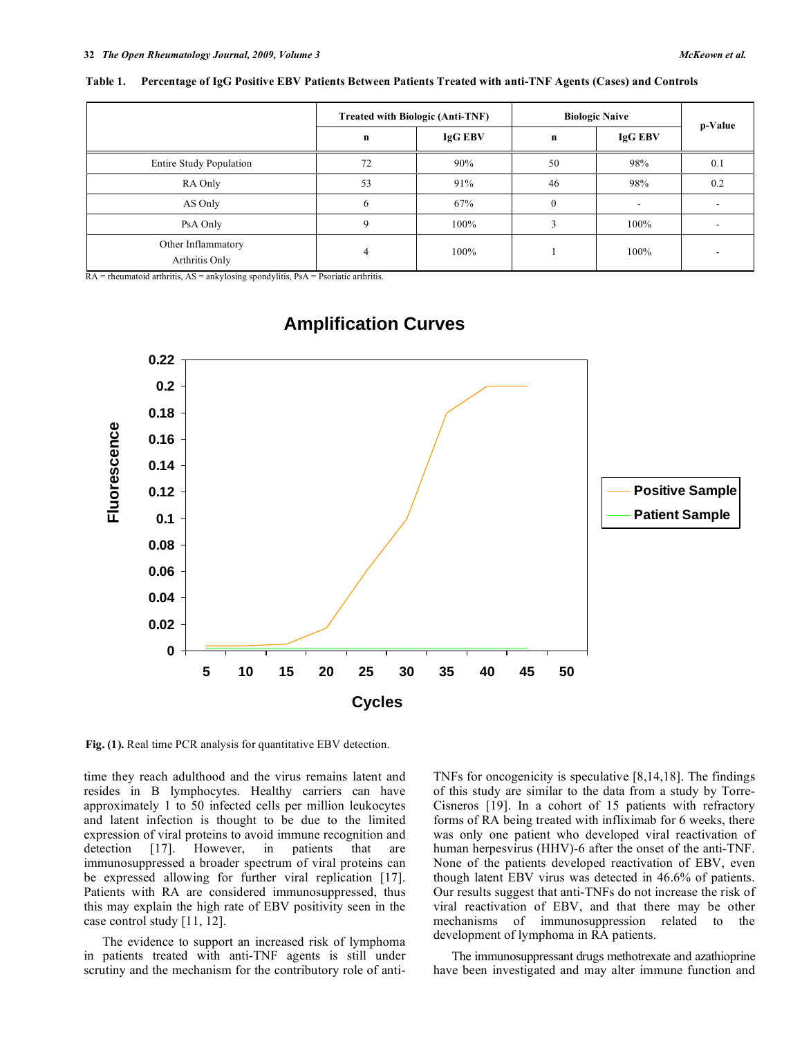|                                      | <b>Treated with Biologic (Anti-TNF)</b> |         | <b>Biologic Naive</b> |         | p-Value |
|--------------------------------------|-----------------------------------------|---------|-----------------------|---------|---------|
|                                      | n                                       | IgG EBV | $\bf n$               | IgG EBV |         |
| <b>Entire Study Population</b>       | 72                                      | 90%     | 50                    | 98%     | 0.1     |
| RA Only                              | 53                                      | 91%     | 46                    | 98%     | 0.2     |
| AS Only                              |                                         | 67%     | $\mathbf{0}$          |         |         |
| PsA Only                             |                                         | 100%    |                       | 100%    |         |
| Other Inflammatory<br>Arthritis Only |                                         | 100%    |                       | 100%    |         |

**Table 1. Percentage of IgG Positive EBV Patients Between Patients Treated with anti-TNF Agents (Cases) and Controls** 

 $RA =$  rheumatoid arthritis,  $AS =$  ankylosing spondylitis,  $PsA =$  Psoriatic arthritis.



# **Amplification Curves**

**Fig. (1).** Real time PCR analysis for quantitative EBV detection.

time they reach adulthood and the virus remains latent and resides in B lymphocytes. Healthy carriers can have approximately 1 to 50 infected cells per million leukocytes and latent infection is thought to be due to the limited expression of viral proteins to avoid immune recognition and detection [17]. However, in patients that are immunosuppressed a broader spectrum of viral proteins can be expressed allowing for further viral replication [17]. Patients with RA are considered immunosuppressed, thus this may explain the high rate of EBV positivity seen in the case control study [11, 12].

 The evidence to support an increased risk of lymphoma in patients treated with anti-TNF agents is still under scrutiny and the mechanism for the contributory role of antiTNFs for oncogenicity is speculative [8,14,18]. The findings of this study are similar to the data from a study by Torre-Cisneros [19]. In a cohort of 15 patients with refractory forms of RA being treated with infliximab for 6 weeks, there was only one patient who developed viral reactivation of human herpesvirus (HHV)-6 after the onset of the anti-TNF. None of the patients developed reactivation of EBV, even though latent EBV virus was detected in 46.6% of patients. Our results suggest that anti-TNFs do not increase the risk of viral reactivation of EBV, and that there may be other mechanisms of immunosuppression related to the development of lymphoma in RA patients.

 The immunosuppressant drugs methotrexate and azathioprine have been investigated and may alter immune function and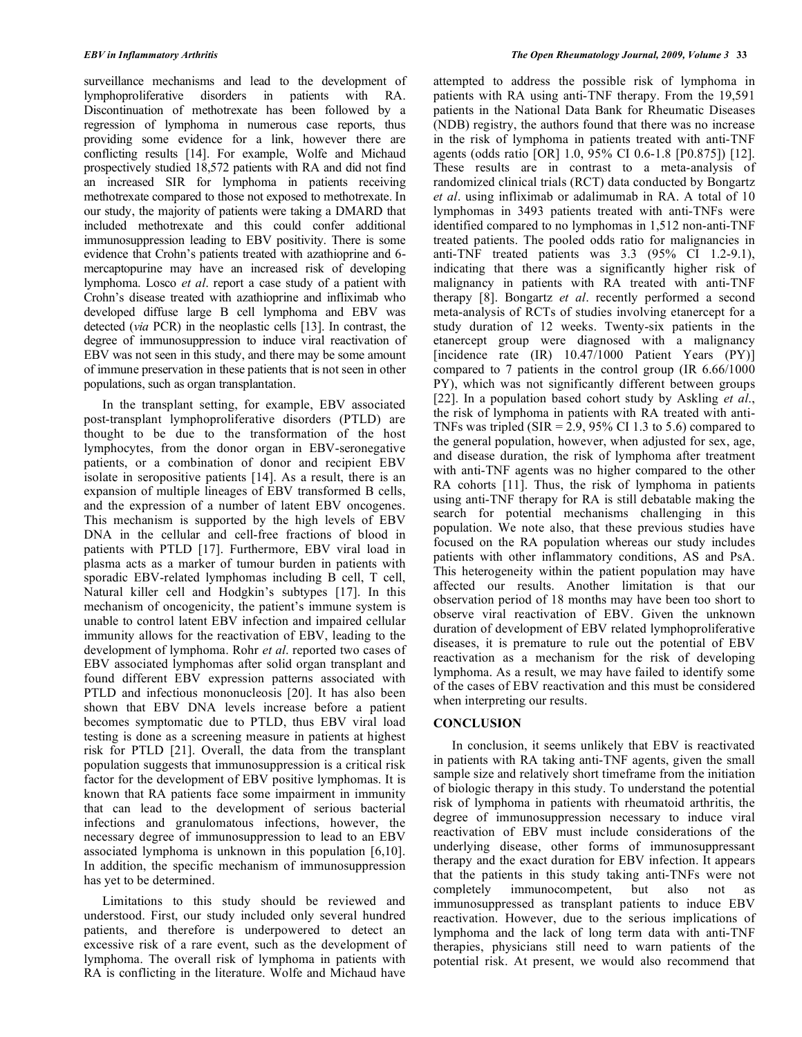surveillance mechanisms and lead to the development of lymphoproliferative disorders in patients with RA. Discontinuation of methotrexate has been followed by a regression of lymphoma in numerous case reports, thus providing some evidence for a link, however there are conflicting results [14]. For example, Wolfe and Michaud prospectively studied 18,572 patients with RA and did not find an increased SIR for lymphoma in patients receiving methotrexate compared to those not exposed to methotrexate. In our study, the majority of patients were taking a DMARD that included methotrexate and this could confer additional immunosuppression leading to EBV positivity. There is some evidence that Crohn's patients treated with azathioprine and 6 mercaptopurine may have an increased risk of developing lymphoma. Losco *et al*. report a case study of a patient with Crohn's disease treated with azathioprine and infliximab who developed diffuse large B cell lymphoma and EBV was detected (*via* PCR) in the neoplastic cells [13]. In contrast, the degree of immunosuppression to induce viral reactivation of EBV was not seen in this study, and there may be some amount of immune preservation in these patients that is not seen in other populations, such as organ transplantation.

 In the transplant setting, for example, EBV associated post-transplant lymphoproliferative disorders (PTLD) are thought to be due to the transformation of the host lymphocytes, from the donor organ in EBV-seronegative patients, or a combination of donor and recipient EBV isolate in seropositive patients [14]. As a result, there is an expansion of multiple lineages of EBV transformed B cells, and the expression of a number of latent EBV oncogenes. This mechanism is supported by the high levels of EBV DNA in the cellular and cell-free fractions of blood in patients with PTLD [17]. Furthermore, EBV viral load in plasma acts as a marker of tumour burden in patients with sporadic EBV-related lymphomas including B cell, T cell, Natural killer cell and Hodgkin's subtypes [17]. In this mechanism of oncogenicity, the patient's immune system is unable to control latent EBV infection and impaired cellular immunity allows for the reactivation of EBV, leading to the development of lymphoma. Rohr *et al*. reported two cases of EBV associated lymphomas after solid organ transplant and found different EBV expression patterns associated with PTLD and infectious mononucleosis [20]. It has also been shown that EBV DNA levels increase before a patient becomes symptomatic due to PTLD, thus EBV viral load testing is done as a screening measure in patients at highest risk for PTLD [21]. Overall, the data from the transplant population suggests that immunosuppression is a critical risk factor for the development of EBV positive lymphomas. It is known that RA patients face some impairment in immunity that can lead to the development of serious bacterial infections and granulomatous infections, however, the necessary degree of immunosuppression to lead to an EBV associated lymphoma is unknown in this population [6,10]. In addition, the specific mechanism of immunosuppression has yet to be determined.

 Limitations to this study should be reviewed and understood. First, our study included only several hundred patients, and therefore is underpowered to detect an excessive risk of a rare event, such as the development of lymphoma. The overall risk of lymphoma in patients with RA is conflicting in the literature. Wolfe and Michaud have

attempted to address the possible risk of lymphoma in patients with RA using anti-TNF therapy. From the 19,591 patients in the National Data Bank for Rheumatic Diseases (NDB) registry, the authors found that there was no increase in the risk of lymphoma in patients treated with anti-TNF agents (odds ratio [OR] 1.0, 95% CI 0.6-1.8 [P0.875]) [12]. These results are in contrast to a meta-analysis of randomized clinical trials (RCT) data conducted by Bongartz *et al*. using infliximab or adalimumab in RA. A total of 10 lymphomas in 3493 patients treated with anti-TNFs were identified compared to no lymphomas in 1,512 non-anti-TNF treated patients. The pooled odds ratio for malignancies in anti-TNF treated patients was 3.3 (95% CI 1.2-9.1), indicating that there was a significantly higher risk of malignancy in patients with RA treated with anti-TNF therapy [8]. Bongartz *et al*. recently performed a second meta-analysis of RCTs of studies involving etanercept for a study duration of 12 weeks. Twenty-six patients in the etanercept group were diagnosed with a malignancy  $[incidence rate (IR) 10.47/1000$  Patient Years  $(PY)$ ] compared to 7 patients in the control group (IR 6.66/1000 PY), which was not significantly different between groups [22]. In a population based cohort study by Askling *et al*., the risk of lymphoma in patients with RA treated with anti-TNFs was tripled (SIR =  $2.9$ , 95% CI 1.3 to 5.6) compared to the general population, however, when adjusted for sex, age, and disease duration, the risk of lymphoma after treatment with anti-TNF agents was no higher compared to the other RA cohorts [11]. Thus, the risk of lymphoma in patients using anti-TNF therapy for RA is still debatable making the search for potential mechanisms challenging in this population. We note also, that these previous studies have focused on the RA population whereas our study includes patients with other inflammatory conditions, AS and PsA. This heterogeneity within the patient population may have affected our results. Another limitation is that our observation period of 18 months may have been too short to observe viral reactivation of EBV. Given the unknown duration of development of EBV related lymphoproliferative diseases, it is premature to rule out the potential of EBV reactivation as a mechanism for the risk of developing lymphoma. As a result, we may have failed to identify some of the cases of EBV reactivation and this must be considered when interpreting our results.

### **CONCLUSION**

 In conclusion, it seems unlikely that EBV is reactivated in patients with RA taking anti-TNF agents, given the small sample size and relatively short timeframe from the initiation of biologic therapy in this study. To understand the potential risk of lymphoma in patients with rheumatoid arthritis, the degree of immunosuppression necessary to induce viral reactivation of EBV must include considerations of the underlying disease, other forms of immunosuppressant therapy and the exact duration for EBV infection. It appears that the patients in this study taking anti-TNFs were not completely immunocompetent, but also not as immunosuppressed as transplant patients to induce EBV reactivation. However, due to the serious implications of lymphoma and the lack of long term data with anti-TNF therapies, physicians still need to warn patients of the potential risk. At present, we would also recommend that